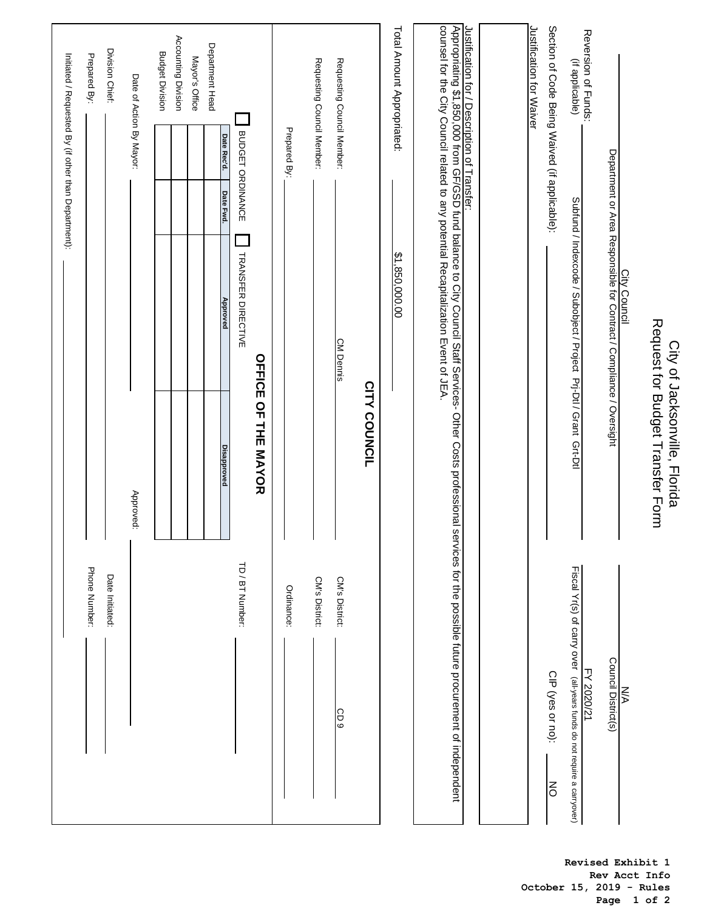|                                                                                                                                                                         |                 |                                                                   |                                                                                      | Initiated / Requested By (if other than Department): |                                              |
|-------------------------------------------------------------------------------------------------------------------------------------------------------------------------|-----------------|-------------------------------------------------------------------|--------------------------------------------------------------------------------------|------------------------------------------------------|----------------------------------------------|
|                                                                                                                                                                         | Phone Number:   |                                                                   |                                                                                      |                                                      | Prepared By:                                 |
|                                                                                                                                                                         | Date Initiated: |                                                                   |                                                                                      |                                                      | Division Chief:                              |
|                                                                                                                                                                         |                 | Approved:                                                         |                                                                                      |                                                      | Date of Action By Mayor:                     |
|                                                                                                                                                                         |                 |                                                                   |                                                                                      |                                                      | <b>Budget Division</b>                       |
|                                                                                                                                                                         |                 |                                                                   |                                                                                      |                                                      | Accounting Division                          |
|                                                                                                                                                                         |                 |                                                                   |                                                                                      |                                                      | Mayor's Office                               |
|                                                                                                                                                                         |                 | <b>Disapproved</b>                                                | Approved                                                                             | Date Rec'd.<br>Date Fwd.                             | Department Head                              |
|                                                                                                                                                                         | TD / BT Number: |                                                                   | TRANSFER DIRECTIVE                                                                   | BUDGET ORDINANCE                                     |                                              |
|                                                                                                                                                                         |                 | <b>OFFICE OF THE MAYOR</b>                                        |                                                                                      |                                                      |                                              |
|                                                                                                                                                                         | Ordinance:      |                                                                   |                                                                                      | Prepared By:                                         |                                              |
|                                                                                                                                                                         | CM's District:  |                                                                   |                                                                                      |                                                      | Requesting Council Member:                   |
| 6 Q <sub>2</sub>                                                                                                                                                        | CM's District:  |                                                                   | <b>CM Dennis</b>                                                                     |                                                      | Requesting Council Member:                   |
|                                                                                                                                                                         |                 | <b>CITY COUNCIL</b>                                               |                                                                                      |                                                      |                                              |
|                                                                                                                                                                         |                 |                                                                   | \$1,850,000.00                                                                       |                                                      | Total Amount Appropriated:                   |
| Appropriating \$1,850,000 from GF/GSD fund balance to City Council Staff Services- Other Costs professional services for the possible future procurement of independent |                 |                                                                   | counsel for the City Council related to any potential Recapitalization Event of JEA. |                                                      | Justification for / Description of Transfer: |
|                                                                                                                                                                         |                 |                                                                   |                                                                                      |                                                      |                                              |
|                                                                                                                                                                         |                 |                                                                   |                                                                                      |                                                      | Justification for Waiver                     |
| CIP (yes or no):<br>š                                                                                                                                                   |                 |                                                                   |                                                                                      | Section of Code Being Waived (if applicable):        |                                              |
| Fiscal Yr(s) of carry over (all-years funds do not require a carryover)<br>FY 2020/21                                                                                   |                 |                                                                   | Subfund / Indexcode / Subobject / Project Pri-Dtl / Grant Grt-Dtl                    |                                                      | Reversion of Funds:<br>(if applicable)       |
| Council District(s)                                                                                                                                                     |                 |                                                                   | Department or Area Responsible for Contract / Compliance / Oversight                 |                                                      |                                              |
| $\leqslant$                                                                                                                                                             |                 |                                                                   | City Council                                                                         |                                                      |                                              |
|                                                                                                                                                                         |                 | Request for Budget Transfer Form<br>City of Jacksonville, Florida |                                                                                      |                                                      |                                              |